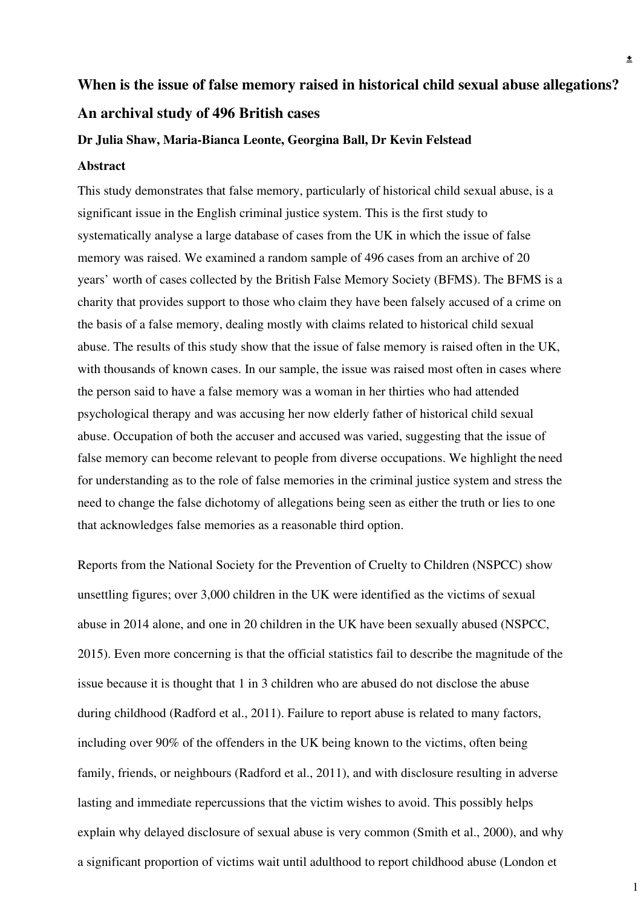# **When is the issue of false memory raised in historical child sexual abuse allegations? An archival study of 496 British cases**

#### **Dr Julia Shaw, Maria-Bianca Leonte, Georgina Ball, Dr Kevin Felstead**

#### **Abstract**

This study demonstrates that false memory, particularly of historical child sexual abuse, is a significant issue in the English criminal justice system. This is the first study to systematically analyse a large database of cases from the UK in which the issue of false memory was raised. We examined a random sample of 496 cases from an archive of 20 years' worth of cases collected by the British False Memory Society (BFMS). The BFMS is a charity that provides support to those who claim they have been falsely accused of a crime on the basis of a false memory, dealing mostly with claims related to historical child sexual abuse. The results of this study show that the issue of false memory is raised often in the UK, with thousands of known cases. In our sample, the issue was raised most often in cases where the person said to have a false memory was a woman in her thirties who had attended psychological therapy and was accusing her now elderly father of historical child sexual abuse. Occupation of both the accuser and accused was varied, suggesting that the issue of false memory can become relevant to people from diverse occupations. We highlight the need for understanding as to the role of false memories in the criminal justice system and stress the need to change the false dichotomy of allegations being seen as either the truth or lies to one that acknowledges false memories as a reasonable third option.

Reports from the National Society for the Prevention of Cruelty to Children (NSPCC) show unsettling figures; over 3,000 children in the UK were identified as the victims of sexual abuse in 2014 alone, and one in 20 children in the UK have been sexually abused (NSPCC, 2015). Even more concerning is that the official statistics fail to describe the magnitude of the issue because it is thought that 1 in 3 children who are abused do not disclose the abuse during childhood (Radford et al., 2011). Failure to report abuse is related to many factors, including over 90% of the offenders in the UK being known to the victims, often being family, friends, or neighbours (Radford et al., 2011), and with disclosure resulting in adverse lasting and immediate repercussions that the victim wishes to avoid. This possibly helps explain why delayed disclosure of sexual abuse is very common (Smith et al., 2000), and why a significant proportion of victims wait until adulthood to report childhood abuse (London et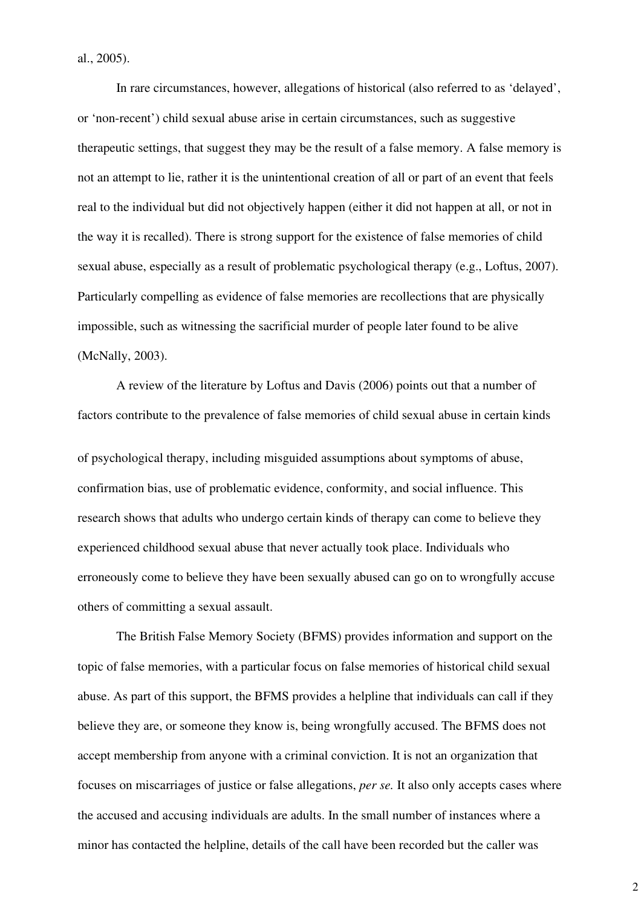al., 2005).

In rare circumstances, however, allegations of historical (also referred to as 'delayed', or 'non-recent') child sexual abuse arise in certain circumstances, such as suggestive therapeutic settings, that suggest they may be the result of a false memory. A false memory is not an attempt to lie, rather it is the unintentional creation of all or part of an event that feels real to the individual but did not objectively happen (either it did not happen at all, or not in the way it is recalled). There is strong support for the existence of false memories of child sexual abuse, especially as a result of problematic psychological therapy (e.g., Loftus, 2007). Particularly compelling as evidence of false memories are recollections that are physically impossible, such as witnessing the sacrificial murder of people later found to be alive (McNally, 2003).

A review of the literature by Loftus and Davis (2006) points out that a number of factors contribute to the prevalence of false memories of child sexual abuse in certain kinds

of psychological therapy, including misguided assumptions about symptoms of abuse, confirmation bias, use of problematic evidence, conformity, and social influence. This research shows that adults who undergo certain kinds of therapy can come to believe they experienced childhood sexual abuse that never actually took place. Individuals who erroneously come to believe they have been sexually abused can go on to wrongfully accuse others of committing a sexual assault.

The British False Memory Society (BFMS) provides information and support on the topic of false memories, with a particular focus on false memories of historical child sexual abuse. As part of this support, the BFMS provides a helpline that individuals can call if they believe they are, or someone they know is, being wrongfully accused. The BFMS does not accept membership from anyone with a criminal conviction. It is not an organization that focuses on miscarriages of justice or false allegations, *per se.* It also only accepts cases where the accused and accusing individuals are adults. In the small number of instances where a minor has contacted the helpline, details of the call have been recorded but the caller was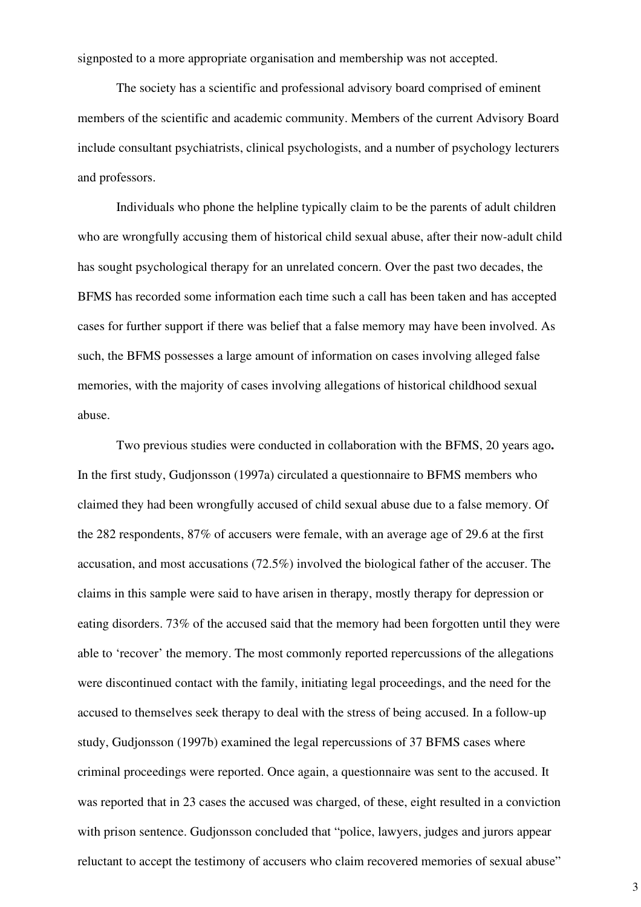signposted to a more appropriate organisation and membership was not accepted.

The society has a scientific and professional advisory board comprised of eminent members of the scientific and academic community. Members of the current Advisory Board include consultant psychiatrists, clinical psychologists, and a number of psychology lecturers and professors.

Individuals who phone the helpline typically claim to be the parents of adult children who are wrongfully accusing them of historical child sexual abuse, after their now-adult child has sought psychological therapy for an unrelated concern. Over the past two decades, the BFMS has recorded some information each time such a call has been taken and has accepted cases for further support if there was belief that a false memory may have been involved. As such, the BFMS possesses a large amount of information on cases involving alleged false memories, with the majority of cases involving allegations of historical childhood sexual abuse.

Two previous studies were conducted in collaboration with the BFMS, 20 years ago**.**  In the first study, Gudjonsson (1997a) circulated a questionnaire to BFMS members who claimed they had been wrongfully accused of child sexual abuse due to a false memory. Of the 282 respondents, 87% of accusers were female, with an average age of 29.6 at the first accusation, and most accusations (72.5%) involved the biological father of the accuser. The claims in this sample were said to have arisen in therapy, mostly therapy for depression or eating disorders. 73% of the accused said that the memory had been forgotten until they were able to 'recover' the memory. The most commonly reported repercussions of the allegations were discontinued contact with the family, initiating legal proceedings, and the need for the accused to themselves seek therapy to deal with the stress of being accused. In a follow-up study, Gudjonsson (1997b) examined the legal repercussions of 37 BFMS cases where criminal proceedings were reported. Once again, a questionnaire was sent to the accused. It was reported that in 23 cases the accused was charged, of these, eight resulted in a conviction with prison sentence. Gudjonsson concluded that "police, lawyers, judges and jurors appear reluctant to accept the testimony of accusers who claim recovered memories of sexual abuse"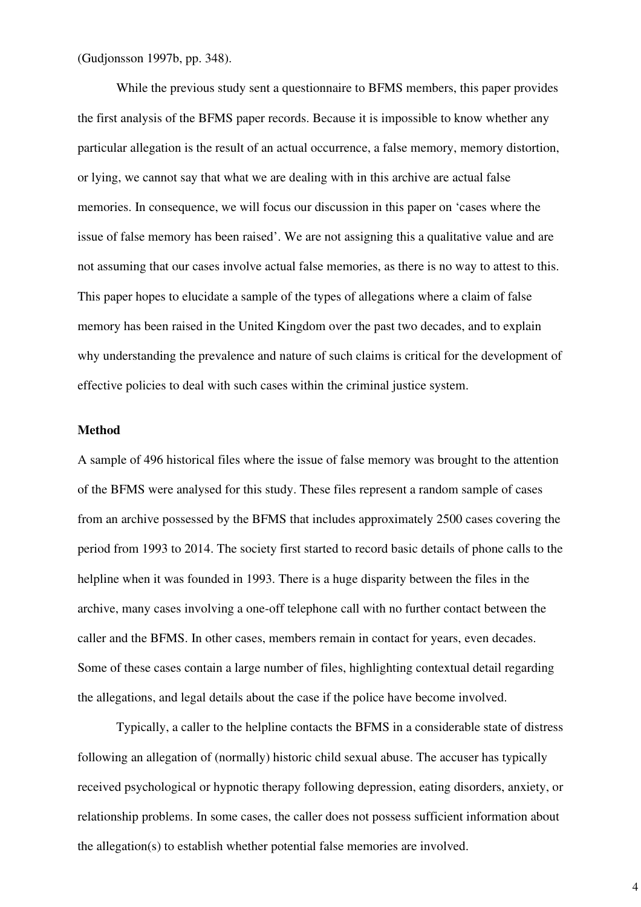(Gudjonsson 1997b, pp. 348).

While the previous study sent a questionnaire to BFMS members, this paper provides the first analysis of the BFMS paper records. Because it is impossible to know whether any particular allegation is the result of an actual occurrence, a false memory, memory distortion, or lying, we cannot say that what we are dealing with in this archive are actual false memories. In consequence, we will focus our discussion in this paper on 'cases where the issue of false memory has been raised'. We are not assigning this a qualitative value and are not assuming that our cases involve actual false memories, as there is no way to attest to this. This paper hopes to elucidate a sample of the types of allegations where a claim of false memory has been raised in the United Kingdom over the past two decades, and to explain why understanding the prevalence and nature of such claims is critical for the development of effective policies to deal with such cases within the criminal justice system.

#### **Method**

A sample of 496 historical files where the issue of false memory was brought to the attention of the BFMS were analysed for this study. These files represent a random sample of cases from an archive possessed by the BFMS that includes approximately 2500 cases covering the period from 1993 to 2014. The society first started to record basic details of phone calls to the helpline when it was founded in 1993. There is a huge disparity between the files in the archive, many cases involving a one-off telephone call with no further contact between the caller and the BFMS. In other cases, members remain in contact for years, even decades. Some of these cases contain a large number of files, highlighting contextual detail regarding the allegations, and legal details about the case if the police have become involved.

Typically, a caller to the helpline contacts the BFMS in a considerable state of distress following an allegation of (normally) historic child sexual abuse. The accuser has typically received psychological or hypnotic therapy following depression, eating disorders, anxiety, or relationship problems. In some cases, the caller does not possess sufficient information about the allegation(s) to establish whether potential false memories are involved.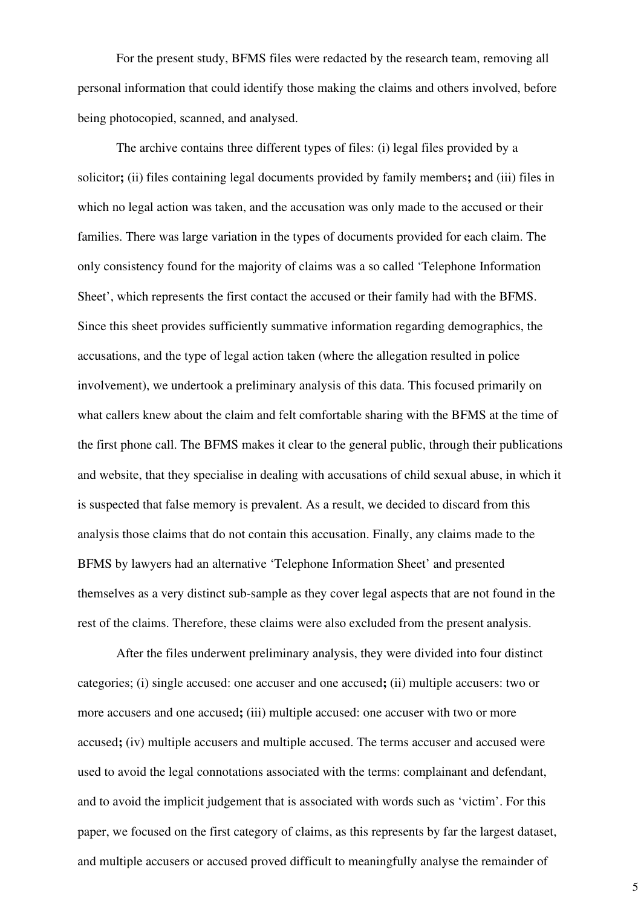For the present study, BFMS files were redacted by the research team, removing all personal information that could identify those making the claims and others involved, before being photocopied, scanned, and analysed.

The archive contains three different types of files: (i) legal files provided by a solicitor**;** (ii) files containing legal documents provided by family members**;** and (iii) files in which no legal action was taken, and the accusation was only made to the accused or their families. There was large variation in the types of documents provided for each claim. The only consistency found for the majority of claims was a so called 'Telephone Information Sheet', which represents the first contact the accused or their family had with the BFMS. Since this sheet provides sufficiently summative information regarding demographics, the accusations, and the type of legal action taken (where the allegation resulted in police involvement), we undertook a preliminary analysis of this data. This focused primarily on what callers knew about the claim and felt comfortable sharing with the BFMS at the time of the first phone call. The BFMS makes it clear to the general public, through their publications and website, that they specialise in dealing with accusations of child sexual abuse, in which it is suspected that false memory is prevalent. As a result, we decided to discard from this analysis those claims that do not contain this accusation. Finally, any claims made to the BFMS by lawyers had an alternative 'Telephone Information Sheet' and presented themselves as a very distinct sub-sample as they cover legal aspects that are not found in the rest of the claims. Therefore, these claims were also excluded from the present analysis.

After the files underwent preliminary analysis, they were divided into four distinct categories; (i) single accused: one accuser and one accused**;** (ii) multiple accusers: two or more accusers and one accused; (iii) multiple accused: one accuser with two or more accused**;** (iv) multiple accusers and multiple accused. The terms accuser and accused were used to avoid the legal connotations associated with the terms: complainant and defendant, and to avoid the implicit judgement that is associated with words such as 'victim'. For this paper, we focused on the first category of claims, as this represents by far the largest dataset, and multiple accusers or accused proved difficult to meaningfully analyse the remainder of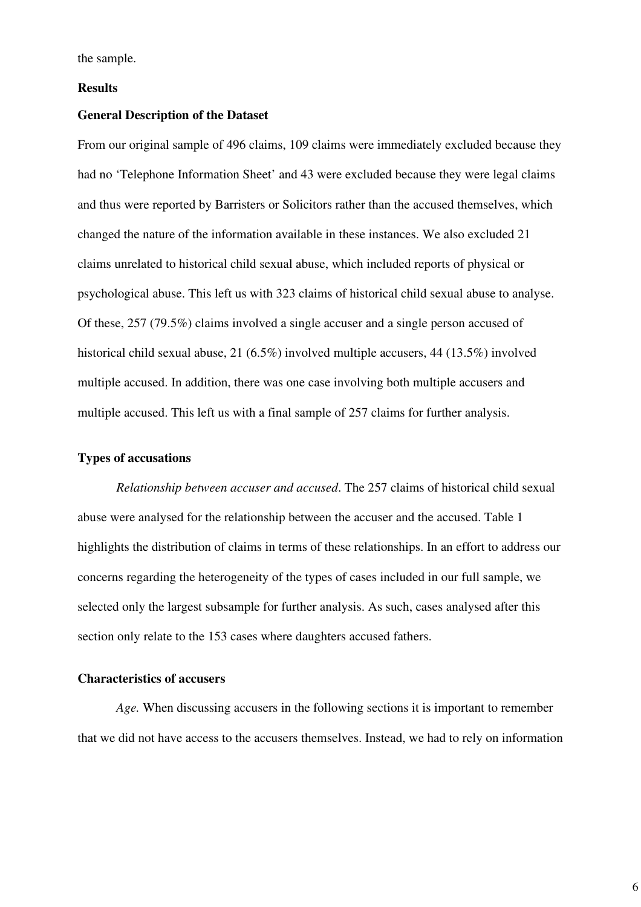the sample.

#### **Results**

# **General Description of the Dataset**

From our original sample of 496 claims, 109 claims were immediately excluded because they had no 'Telephone Information Sheet' and 43 were excluded because they were legal claims and thus were reported by Barristers or Solicitors rather than the accused themselves, which changed the nature of the information available in these instances. We also excluded 21 claims unrelated to historical child sexual abuse, which included reports of physical or psychological abuse. This left us with 323 claims of historical child sexual abuse to analyse. Of these, 257 (79.5%) claims involved a single accuser and a single person accused of historical child sexual abuse, 21 (6.5%) involved multiple accusers, 44 (13.5%) involved multiple accused. In addition, there was one case involving both multiple accusers and multiple accused. This left us with a final sample of 257 claims for further analysis.

# **Types of accusations**

*Relationship between accuser and accused*. The 257 claims of historical child sexual abuse were analysed for the relationship between the accuser and the accused. Table 1 highlights the distribution of claims in terms of these relationships. In an effort to address our concerns regarding the heterogeneity of the types of cases included in our full sample, we selected only the largest subsample for further analysis. As such, cases analysed after this section only relate to the 153 cases where daughters accused fathers.

### **Characteristics of accusers**

*Age.* When discussing accusers in the following sections it is important to remember that we did not have access to the accusers themselves. Instead, we had to rely on information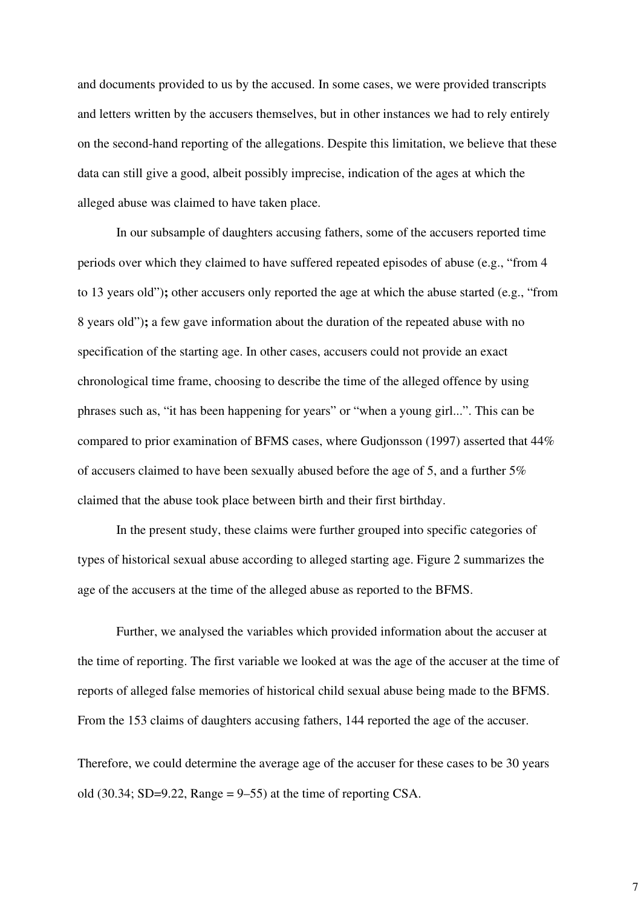and documents provided to us by the accused. In some cases, we were provided transcripts and letters written by the accusers themselves, but in other instances we had to rely entirely on the second-hand reporting of the allegations. Despite this limitation, we believe that these data can still give a good, albeit possibly imprecise, indication of the ages at which the alleged abuse was claimed to have taken place.

In our subsample of daughters accusing fathers, some of the accusers reported time periods over which they claimed to have suffered repeated episodes of abuse (e.g., "from 4 to 13 years old")**;** other accusers only reported the age at which the abuse started (e.g., "from 8 years old")**;** a few gave information about the duration of the repeated abuse with no specification of the starting age. In other cases, accusers could not provide an exact chronological time frame, choosing to describe the time of the alleged offence by using phrases such as, "it has been happening for years" or "when a young girl...". This can be compared to prior examination of BFMS cases, where Gudjonsson (1997) asserted that 44% of accusers claimed to have been sexually abused before the age of 5, and a further 5% claimed that the abuse took place between birth and their first birthday.

In the present study, these claims were further grouped into specific categories of types of historical sexual abuse according to alleged starting age. Figure 2 summarizes the age of the accusers at the time of the alleged abuse as reported to the BFMS.

Further, we analysed the variables which provided information about the accuser at the time of reporting. The first variable we looked at was the age of the accuser at the time of reports of alleged false memories of historical child sexual abuse being made to the BFMS. From the 153 claims of daughters accusing fathers, 144 reported the age of the accuser.

Therefore, we could determine the average age of the accuser for these cases to be 30 years old  $(30.34; SD=9.22, Range = 9-55)$  at the time of reporting CSA.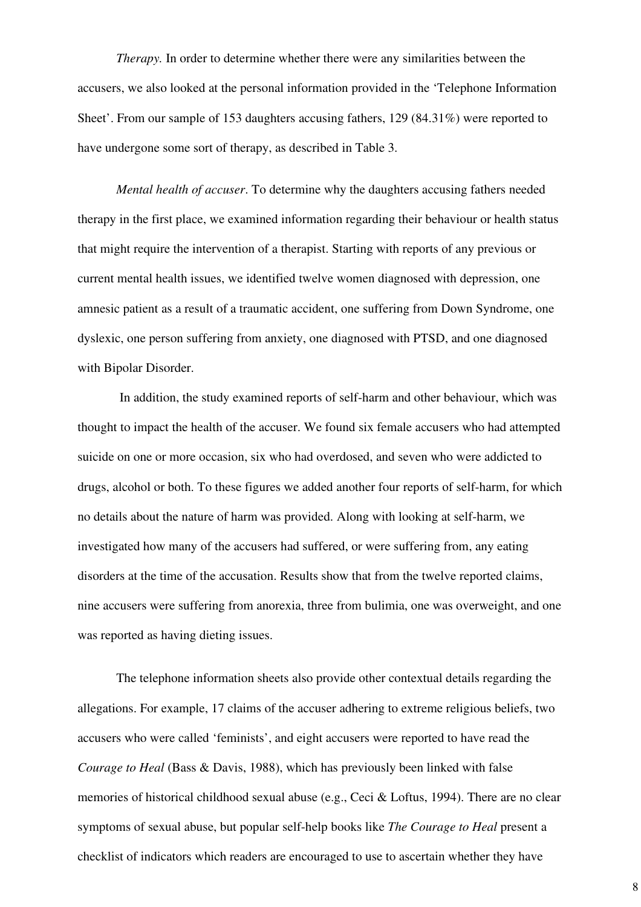*Therapy.* In order to determine whether there were any similarities between the accusers, we also looked at the personal information provided in the 'Telephone Information Sheet'. From our sample of 153 daughters accusing fathers, 129 (84.31%) were reported to have undergone some sort of therapy, as described in Table 3.

*Mental health of accuser*. To determine why the daughters accusing fathers needed therapy in the first place, we examined information regarding their behaviour or health status that might require the intervention of a therapist. Starting with reports of any previous or current mental health issues, we identified twelve women diagnosed with depression, one amnesic patient as a result of a traumatic accident, one suffering from Down Syndrome, one dyslexic, one person suffering from anxiety, one diagnosed with PTSD, and one diagnosed with Bipolar Disorder.

In addition, the study examined reports of self-harm and other behaviour, which was thought to impact the health of the accuser. We found six female accusers who had attempted suicide on one or more occasion, six who had overdosed, and seven who were addicted to drugs, alcohol or both. To these figures we added another four reports of self-harm, for which no details about the nature of harm was provided. Along with looking at self-harm, we investigated how many of the accusers had suffered, or were suffering from, any eating disorders at the time of the accusation. Results show that from the twelve reported claims, nine accusers were suffering from anorexia, three from bulimia, one was overweight, and one was reported as having dieting issues.

The telephone information sheets also provide other contextual details regarding the allegations. For example, 17 claims of the accuser adhering to extreme religious beliefs, two accusers who were called 'feminists', and eight accusers were reported to have read the *Courage to Heal* (Bass & Davis, 1988), which has previously been linked with false memories of historical childhood sexual abuse (e.g., Ceci & Loftus, 1994). There are no clear symptoms of sexual abuse, but popular self-help books like *The Courage to Heal* present a checklist of indicators which readers are encouraged to use to ascertain whether they have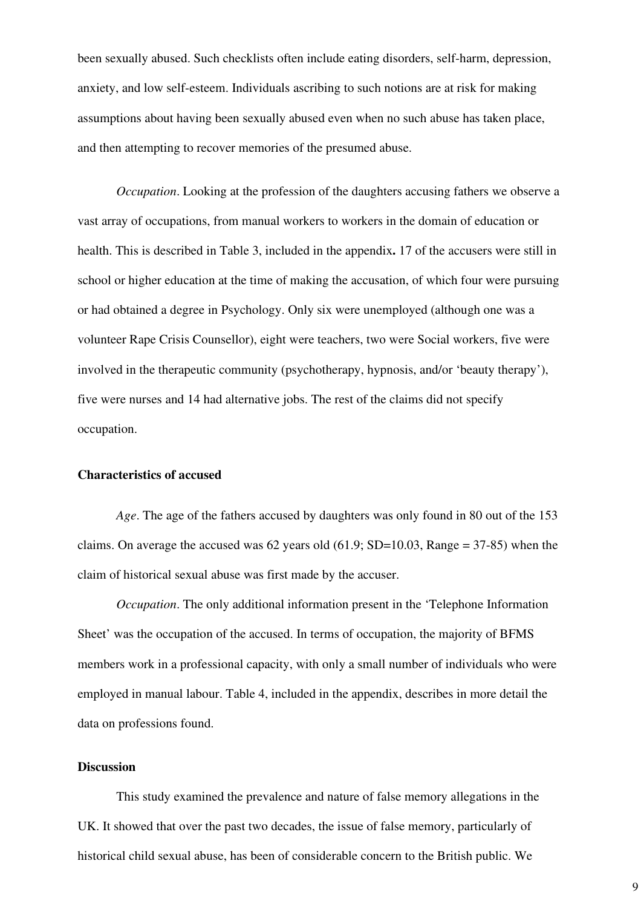been sexually abused. Such checklists often include eating disorders, self-harm, depression, anxiety, and low self-esteem. Individuals ascribing to such notions are at risk for making assumptions about having been sexually abused even when no such abuse has taken place, and then attempting to recover memories of the presumed abuse.

*Occupation*. Looking at the profession of the daughters accusing fathers we observe a vast array of occupations, from manual workers to workers in the domain of education or health. This is described in Table 3, included in the appendix**.** 17 of the accusers were still in school or higher education at the time of making the accusation, of which four were pursuing or had obtained a degree in Psychology. Only six were unemployed (although one was a volunteer Rape Crisis Counsellor), eight were teachers, two were Social workers, five were involved in the therapeutic community (psychotherapy, hypnosis, and/or 'beauty therapy'), five were nurses and 14 had alternative jobs. The rest of the claims did not specify occupation.

#### **Characteristics of accused**

*Age*. The age of the fathers accused by daughters was only found in 80 out of the 153 claims. On average the accused was 62 years old  $(61.9; SD=10.03, Range = 37-85)$  when the claim of historical sexual abuse was first made by the accuser.

*Occupation*. The only additional information present in the 'Telephone Information Sheet' was the occupation of the accused. In terms of occupation, the majority of BFMS members work in a professional capacity, with only a small number of individuals who were employed in manual labour. Table 4, included in the appendix, describes in more detail the data on professions found.

### **Discussion**

This study examined the prevalence and nature of false memory allegations in the UK. It showed that over the past two decades, the issue of false memory, particularly of historical child sexual abuse, has been of considerable concern to the British public. We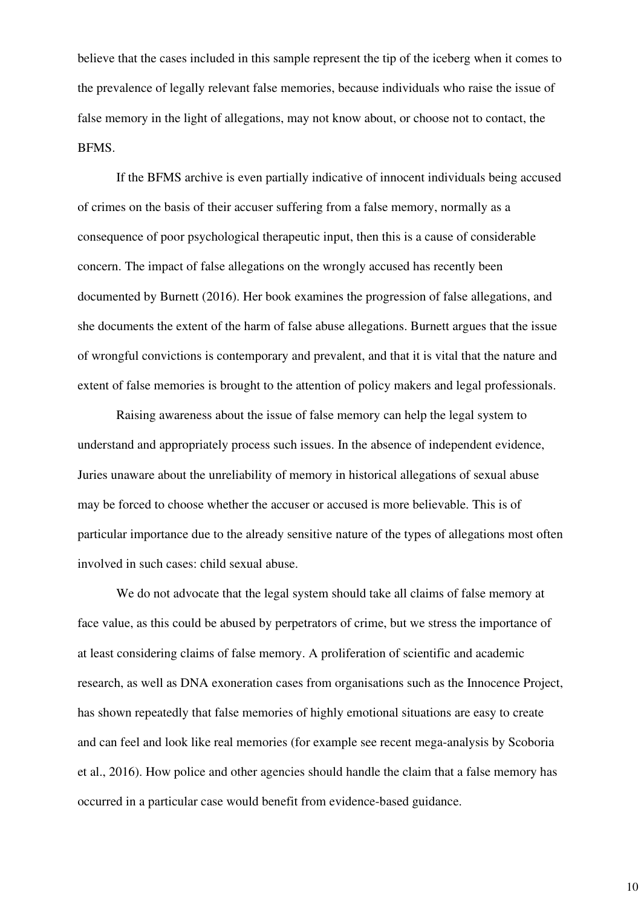believe that the cases included in this sample represent the tip of the iceberg when it comes to the prevalence of legally relevant false memories, because individuals who raise the issue of false memory in the light of allegations, may not know about, or choose not to contact, the BFMS.

If the BFMS archive is even partially indicative of innocent individuals being accused of crimes on the basis of their accuser suffering from a false memory, normally as a consequence of poor psychological therapeutic input, then this is a cause of considerable concern. The impact of false allegations on the wrongly accused has recently been documented by Burnett (2016). Her book examines the progression of false allegations, and she documents the extent of the harm of false abuse allegations. Burnett argues that the issue of wrongful convictions is contemporary and prevalent, and that it is vital that the nature and extent of false memories is brought to the attention of policy makers and legal professionals.

Raising awareness about the issue of false memory can help the legal system to understand and appropriately process such issues. In the absence of independent evidence, Juries unaware about the unreliability of memory in historical allegations of sexual abuse may be forced to choose whether the accuser or accused is more believable. This is of particular importance due to the already sensitive nature of the types of allegations most often involved in such cases: child sexual abuse.

We do not advocate that the legal system should take all claims of false memory at face value, as this could be abused by perpetrators of crime, but we stress the importance of at least considering claims of false memory. A proliferation of scientific and academic research, as well as DNA exoneration cases from organisations such as the Innocence Project, has shown repeatedly that false memories of highly emotional situations are easy to create and can feel and look like real memories (for example see recent mega-analysis by Scoboria et al., 2016). How police and other agencies should handle the claim that a false memory has occurred in a particular case would benefit from evidence-based guidance.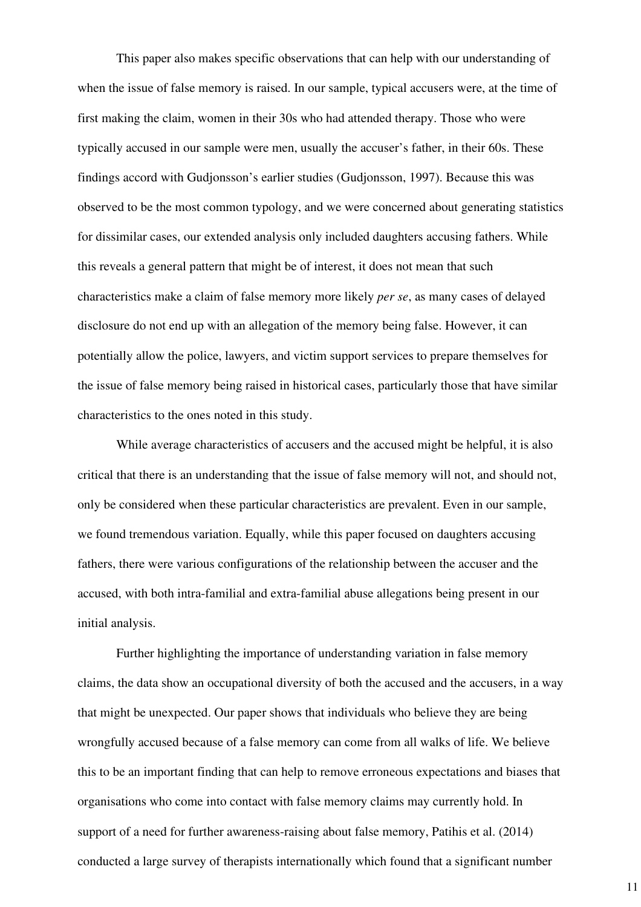This paper also makes specific observations that can help with our understanding of when the issue of false memory is raised. In our sample, typical accusers were, at the time of first making the claim, women in their 30s who had attended therapy. Those who were typically accused in our sample were men, usually the accuser's father, in their 60s. These findings accord with Gudjonsson's earlier studies (Gudjonsson, 1997). Because this was observed to be the most common typology, and we were concerned about generating statistics for dissimilar cases, our extended analysis only included daughters accusing fathers. While this reveals a general pattern that might be of interest, it does not mean that such characteristics make a claim of false memory more likely *per se*, as many cases of delayed disclosure do not end up with an allegation of the memory being false. However, it can potentially allow the police, lawyers, and victim support services to prepare themselves for the issue of false memory being raised in historical cases, particularly those that have similar characteristics to the ones noted in this study.

While average characteristics of accusers and the accused might be helpful, it is also critical that there is an understanding that the issue of false memory will not, and should not, only be considered when these particular characteristics are prevalent. Even in our sample, we found tremendous variation. Equally, while this paper focused on daughters accusing fathers, there were various configurations of the relationship between the accuser and the accused, with both intra-familial and extra-familial abuse allegations being present in our initial analysis.

Further highlighting the importance of understanding variation in false memory claims, the data show an occupational diversity of both the accused and the accusers, in a way that might be unexpected. Our paper shows that individuals who believe they are being wrongfully accused because of a false memory can come from all walks of life. We believe this to be an important finding that can help to remove erroneous expectations and biases that organisations who come into contact with false memory claims may currently hold. In support of a need for further awareness-raising about false memory, Patihis et al. (2014) conducted a large survey of therapists internationally which found that a significant number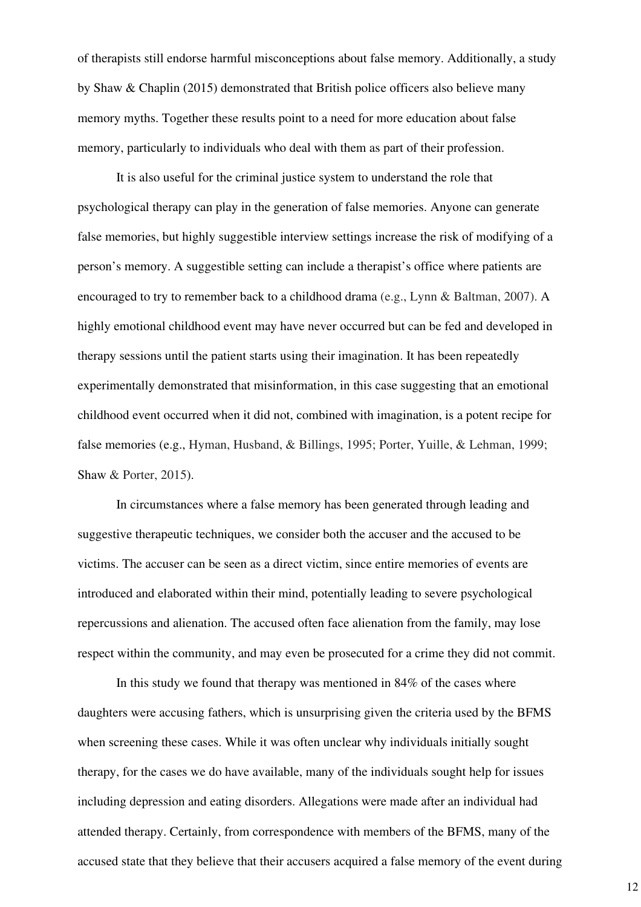of therapists still endorse harmful misconceptions about false memory. Additionally, a study by Shaw & Chaplin (2015) demonstrated that British police officers also believe many memory myths. Together these results point to a need for more education about false memory, particularly to individuals who deal with them as part of their profession.

It is also useful for the criminal justice system to understand the role that psychological therapy can play in the generation of false memories. Anyone can generate false memories, but highly suggestible interview settings increase the risk of modifying of a person's memory. A suggestible setting can include a therapist's office where patients are encouraged to try to remember back to a childhood drama (e.g., Lynn & Baltman, 2007). A highly emotional childhood event may have never occurred but can be fed and developed in therapy sessions until the patient starts using their imagination. It has been repeatedly experimentally demonstrated that misinformation, in this case suggesting that an emotional childhood event occurred when it did not, combined with imagination, is a potent recipe for false memories (e.g., Hyman, Husband, & Billings, 1995; Porter, Yuille, & Lehman, 1999; Shaw & Porter, 2015).

In circumstances where a false memory has been generated through leading and suggestive therapeutic techniques, we consider both the accuser and the accused to be victims. The accuser can be seen as a direct victim, since entire memories of events are introduced and elaborated within their mind, potentially leading to severe psychological repercussions and alienation. The accused often face alienation from the family, may lose respect within the community, and may even be prosecuted for a crime they did not commit.

In this study we found that therapy was mentioned in 84% of the cases where daughters were accusing fathers, which is unsurprising given the criteria used by the BFMS when screening these cases. While it was often unclear why individuals initially sought therapy, for the cases we do have available, many of the individuals sought help for issues including depression and eating disorders. Allegations were made after an individual had attended therapy. Certainly, from correspondence with members of the BFMS, many of the accused state that they believe that their accusers acquired a false memory of the event during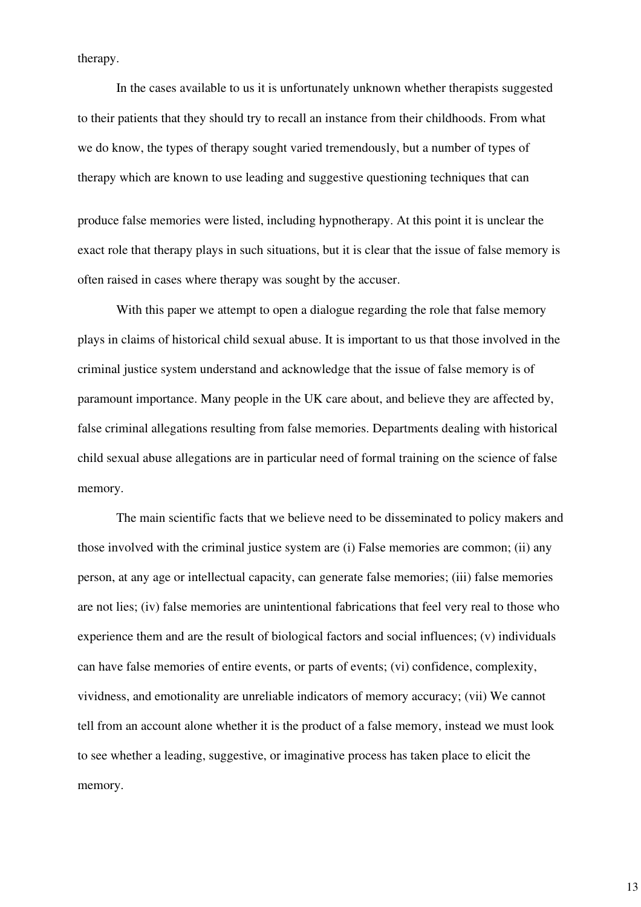therapy.

In the cases available to us it is unfortunately unknown whether therapists suggested to their patients that they should try to recall an instance from their childhoods. From what we do know, the types of therapy sought varied tremendously, but a number of types of therapy which are known to use leading and suggestive questioning techniques that can

produce false memories were listed, including hypnotherapy. At this point it is unclear the exact role that therapy plays in such situations, but it is clear that the issue of false memory is often raised in cases where therapy was sought by the accuser.

With this paper we attempt to open a dialogue regarding the role that false memory plays in claims of historical child sexual abuse. It is important to us that those involved in the criminal justice system understand and acknowledge that the issue of false memory is of paramount importance. Many people in the UK care about, and believe they are affected by, false criminal allegations resulting from false memories. Departments dealing with historical child sexual abuse allegations are in particular need of formal training on the science of false memory.

The main scientific facts that we believe need to be disseminated to policy makers and those involved with the criminal justice system are (i) False memories are common; (ii) any person, at any age or intellectual capacity, can generate false memories; (iii) false memories are not lies; (iv) false memories are unintentional fabrications that feel very real to those who experience them and are the result of biological factors and social influences; (v) individuals can have false memories of entire events, or parts of events; (vi) confidence, complexity, vividness, and emotionality are unreliable indicators of memory accuracy; (vii) We cannot tell from an account alone whether it is the product of a false memory, instead we must look to see whether a leading, suggestive, or imaginative process has taken place to elicit the memory.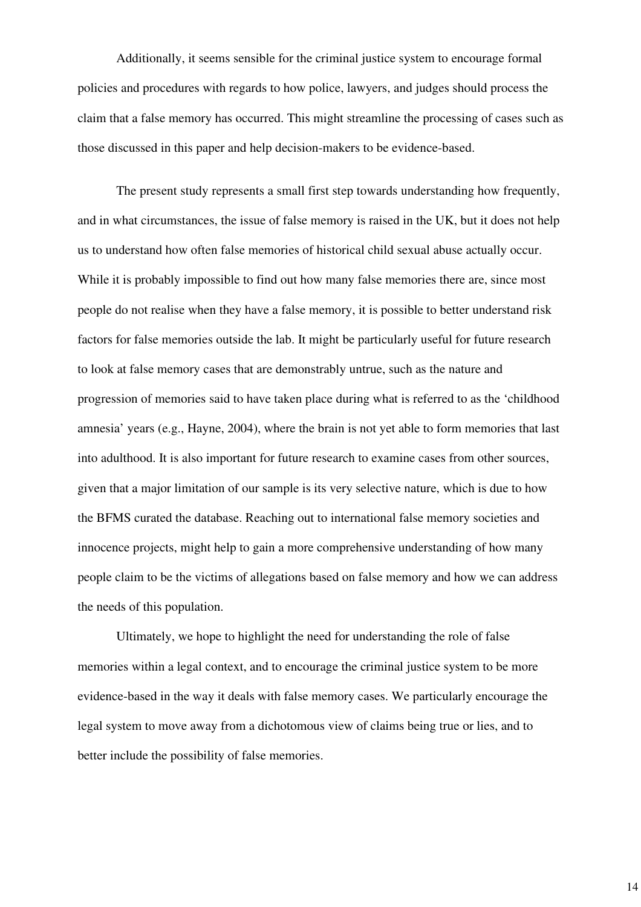Additionally, it seems sensible for the criminal justice system to encourage formal policies and procedures with regards to how police, lawyers, and judges should process the claim that a false memory has occurred. This might streamline the processing of cases such as those discussed in this paper and help decision-makers to be evidence-based.

The present study represents a small first step towards understanding how frequently, and in what circumstances, the issue of false memory is raised in the UK, but it does not help us to understand how often false memories of historical child sexual abuse actually occur. While it is probably impossible to find out how many false memories there are, since most people do not realise when they have a false memory, it is possible to better understand risk factors for false memories outside the lab. It might be particularly useful for future research to look at false memory cases that are demonstrably untrue, such as the nature and progression of memories said to have taken place during what is referred to as the 'childhood amnesia' years (e.g., Hayne, 2004), where the brain is not yet able to form memories that last into adulthood. It is also important for future research to examine cases from other sources, given that a major limitation of our sample is its very selective nature, which is due to how the BFMS curated the database. Reaching out to international false memory societies and innocence projects, might help to gain a more comprehensive understanding of how many people claim to be the victims of allegations based on false memory and how we can address the needs of this population.

Ultimately, we hope to highlight the need for understanding the role of false memories within a legal context, and to encourage the criminal justice system to be more evidence-based in the way it deals with false memory cases. We particularly encourage the legal system to move away from a dichotomous view of claims being true or lies, and to better include the possibility of false memories.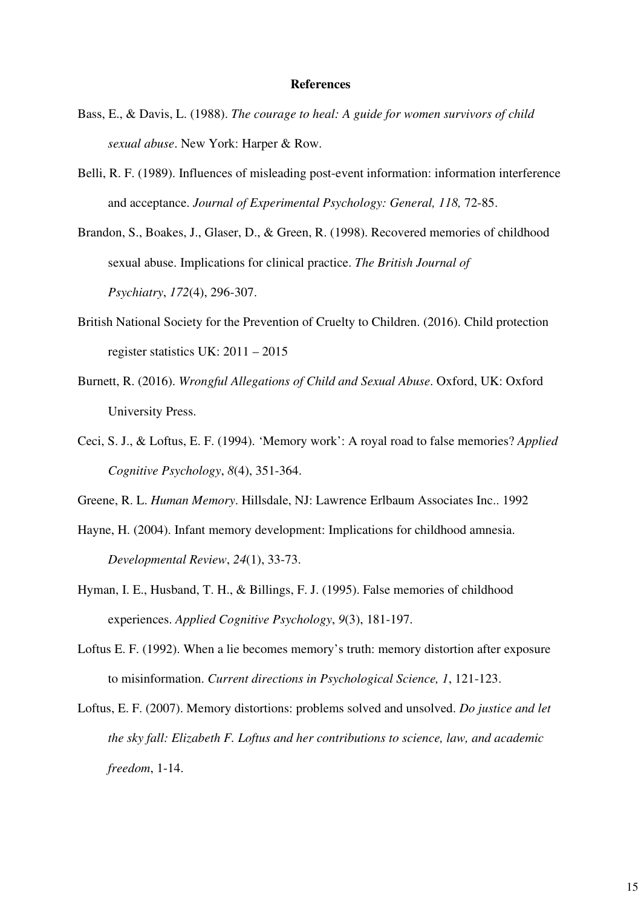#### **References**

- Bass, E., & Davis, L. (1988). *The courage to heal: A guide for women survivors of child sexual abuse*. New York: Harper & Row.
- Belli, R. F. (1989). Influences of misleading post-event information: information interference and acceptance. *Journal of Experimental Psychology: General, 118,* 72-85.
- Brandon, S., Boakes, J., Glaser, D., & Green, R. (1998). Recovered memories of childhood sexual abuse. Implications for clinical practice. *The British Journal of Psychiatry*, *172*(4), 296-307.
- British National Society for the Prevention of Cruelty to Children. (2016). Child protection register statistics UK: 2011 – 2015
- Burnett, R. (2016). *Wrongful Allegations of Child and Sexual Abuse*. Oxford, UK: Oxford University Press.
- Ceci, S. J., & Loftus, E. F. (1994). 'Memory work': A royal road to false memories? *Applied Cognitive Psychology*, *8*(4), 351-364.
- Greene, R. L. *Human Memory*. Hillsdale, NJ: Lawrence Erlbaum Associates Inc.. 1992
- Hayne, H. (2004). Infant memory development: Implications for childhood amnesia. *Developmental Review*, *24*(1), 33-73.
- Hyman, I. E., Husband, T. H., & Billings, F. J. (1995). False memories of childhood experiences. *Applied Cognitive Psychology*, *9*(3), 181-197.
- Loftus E. F. (1992). When a lie becomes memory's truth: memory distortion after exposure to misinformation. *Current directions in Psychological Science, 1*, 121-123.
- Loftus, E. F. (2007). Memory distortions: problems solved and unsolved. *Do justice and let the sky fall: Elizabeth F. Loftus and her contributions to science, law, and academic freedom*, 1-14.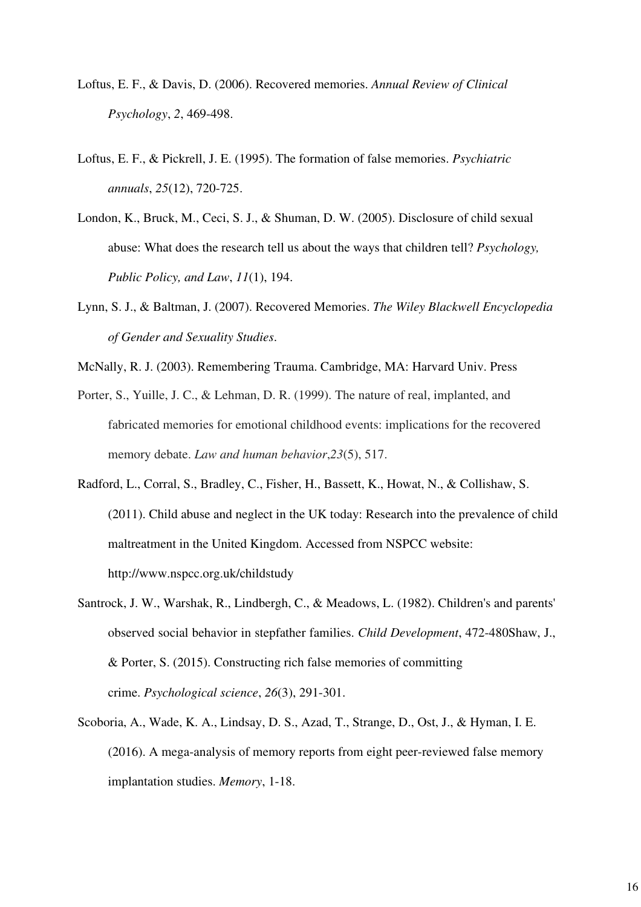- Loftus, E. F., & Davis, D. (2006). Recovered memories. *Annual Review of Clinical Psychology*, *2*, 469-498.
- Loftus, E. F., & Pickrell, J. E. (1995). The formation of false memories. *Psychiatric annuals*, *25*(12), 720-725.
- London, K., Bruck, M., Ceci, S. J., & Shuman, D. W. (2005). Disclosure of child sexual abuse: What does the research tell us about the ways that children tell? *Psychology, Public Policy, and Law*, *11*(1), 194.
- Lynn, S. J., & Baltman, J. (2007). Recovered Memories. *The Wiley Blackwell Encyclopedia of Gender and Sexuality Studies*.
- McNally, R. J. (2003). Remembering Trauma. Cambridge, MA: Harvard Univ. Press
- Porter, S., Yuille, J. C., & Lehman, D. R. (1999). The nature of real, implanted, and fabricated memories for emotional childhood events: implications for the recovered memory debate. *Law and human behavior*,*23*(5), 517.
- Radford, L., Corral, S., Bradley, C., Fisher, H., Bassett, K., Howat, N., & Collishaw, S. (2011). Child abuse and neglect in the UK today: Research into the prevalence of child maltreatment in the United Kingdom. Accessed from NSPCC website: http://www.nspcc.org.uk/childstudy
- Santrock, J. W., Warshak, R., Lindbergh, C., & Meadows, L. (1982). Children's and parents' observed social behavior in stepfather families. *Child Development*, 472-480Shaw, J., & Porter, S. (2015). Constructing rich false memories of committing crime. *Psychological science*, *26*(3), 291-301.
- Scoboria, A., Wade, K. A., Lindsay, D. S., Azad, T., Strange, D., Ost, J., & Hyman, I. E. (2016). A mega-analysis of memory reports from eight peer-reviewed false memory implantation studies. *Memory*, 1-18.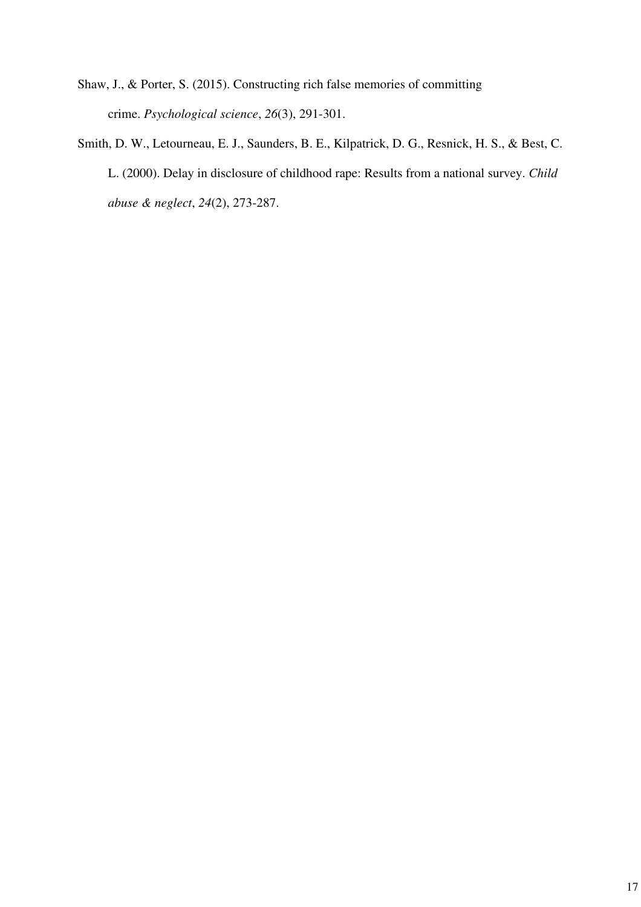- Shaw, J., & Porter, S. (2015). Constructing rich false memories of committing crime. *Psychological science*, *26*(3), 291-301.
- Smith, D. W., Letourneau, E. J., Saunders, B. E., Kilpatrick, D. G., Resnick, H. S., & Best, C. L. (2000). Delay in disclosure of childhood rape: Results from a national survey. *Child abuse & neglect*, *24*(2), 273-287.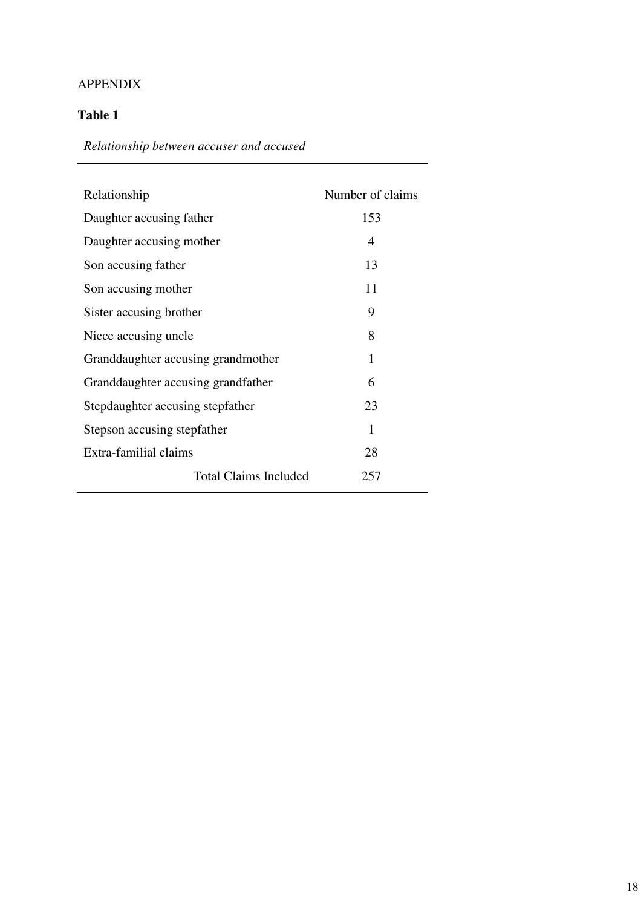# APPENDIX

# **Table 1**

*Relationship between accuser and accused*

| Relationship                       | Number of claims |
|------------------------------------|------------------|
| Daughter accusing father           | 153              |
| Daughter accusing mother           | 4                |
| Son accusing father                | 13               |
| Son accusing mother                | 11               |
| Sister accusing brother            | 9                |
| Niece accusing uncle               | 8                |
| Granddaughter accusing grandmother | 1                |
| Granddaughter accusing grandfather | 6                |
| Stepdaughter accusing stepfather   | 23               |
| Stepson accusing stepfather        | 1                |
| Extra-familial claims              | 28               |
| <b>Total Claims Included</b>       | 257              |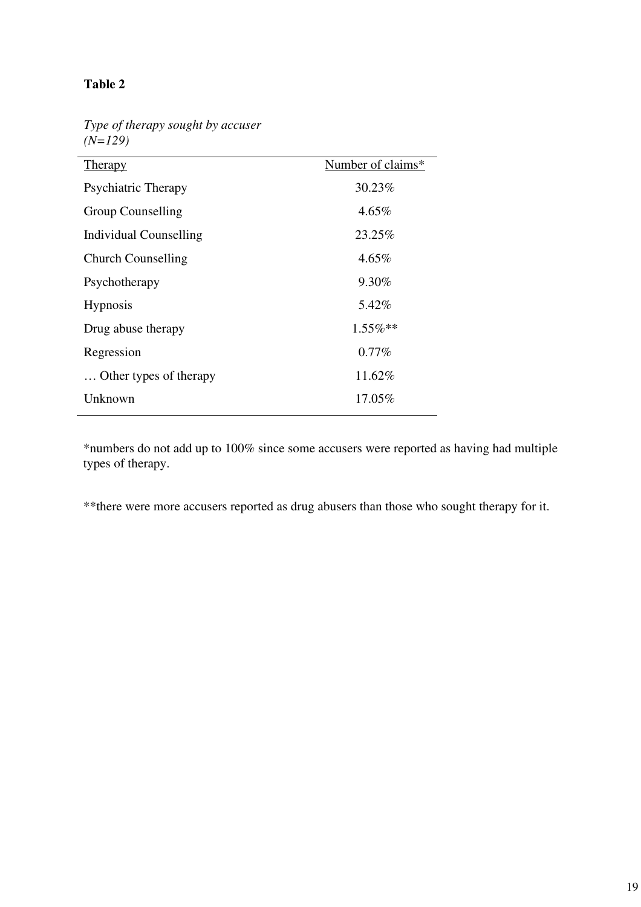# **Table 2**

*Type of therapy sought by accuser (N=129)*

| <b>Therapy</b>            | Number of claims* |
|---------------------------|-------------------|
| Psychiatric Therapy       | 30.23%            |
| Group Counselling         | $4.65\%$          |
| Individual Counselling    | 23.25%            |
| <b>Church Counselling</b> | $4.65\%$          |
| Psychotherapy             | $9.30\%$          |
| <b>Hypnosis</b>           | 5.42%             |
| Drug abuse therapy        | $1.55\%$ **       |
| Regression                | $0.77\%$          |
| Other types of therapy    | 11.62%            |
| Unknown                   | 17.05%            |

\*numbers do not add up to 100% since some accusers were reported as having had multiple types of therapy.

\*\*there were more accusers reported as drug abusers than those who sought therapy for it.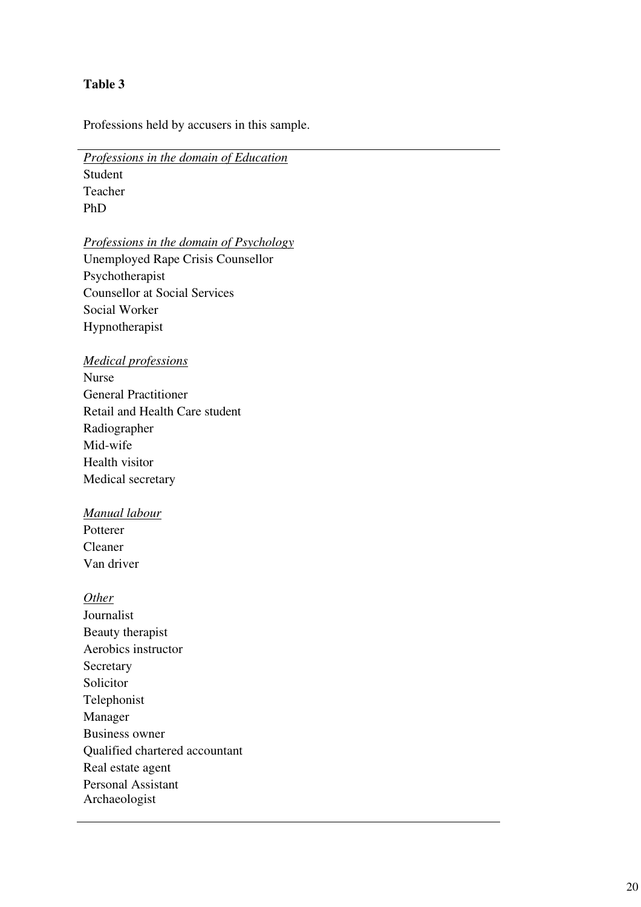## **Table 3**

Professions held by accusers in this sample.

*Professions in the domain of Education* 

Student Teacher PhD

*Professions in the domain of Psychology*  Unemployed Rape Crisis Counsellor Psychotherapist Counsellor at Social Services Social Worker Hypnotherapist

### *Medical professions*

Nurse General Practitioner Retail and Health Care student Radiographer Mid-wife Health visitor Medical secretary

# *Manual labour*

Potterer Cleaner Van driver

### *Other*

Journalist Beauty therapist Aerobics instructor **Secretary** Solicitor Telephonist Manager Business owner Qualified chartered accountant Real estate agent Personal Assistant Archaeologist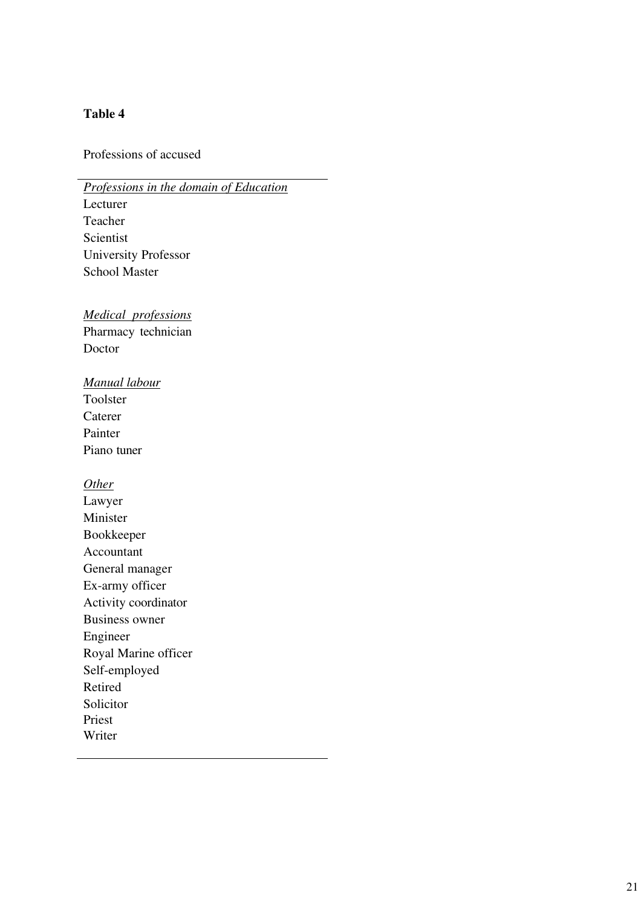# **Table 4**

Professions of accused

*Professions in the domain of Education*  Lecturer Teacher Scientist University Professor School Master

*Medical professions*  Pharmacy technician Doctor

*Manual labour* 

Toolster Caterer Painter Piano tuner

*Other* 

Lawyer Minister Bookkeeper Accountant General manager Ex-army officer Activity coordinator Business owner Engineer Royal Marine officer Self-employed Retired Solicitor Priest Writer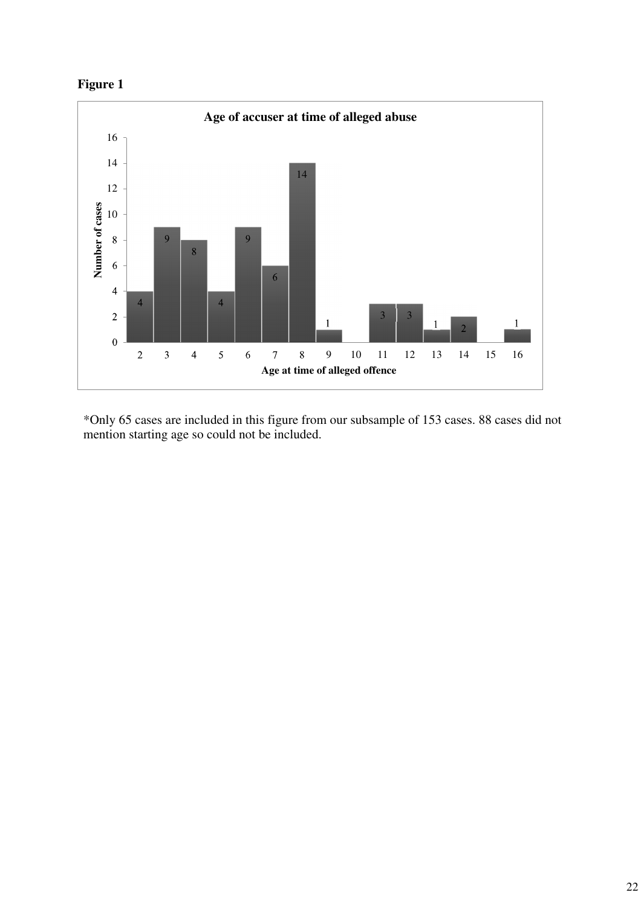



\*Only 65 cases are included in this figure from our subsample of 153 cases. 88 cases did not mention starting age so could not be included.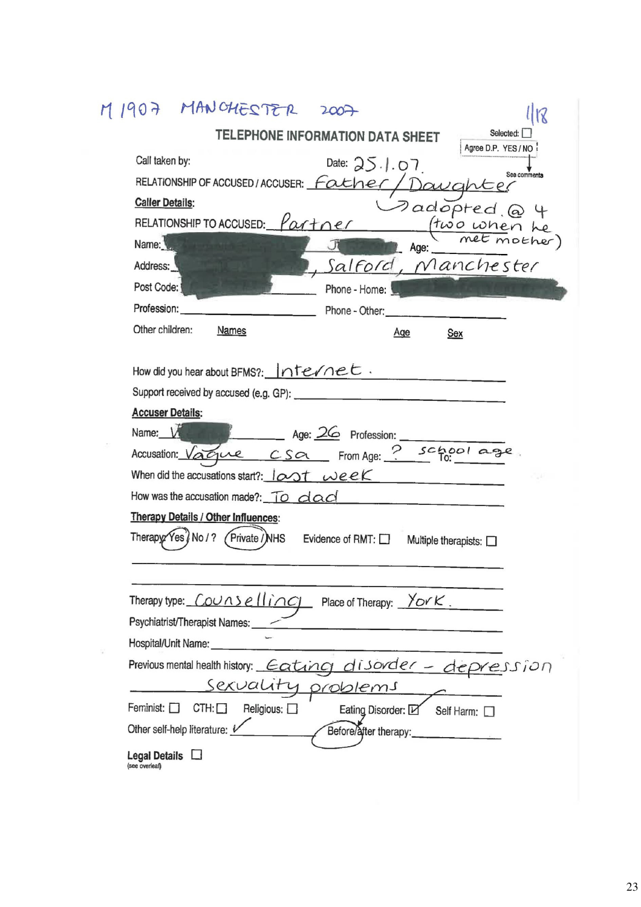| 1907 MANCHESTER                                                                                      |
|------------------------------------------------------------------------------------------------------|
| Selected:<br>TELEPHONE INFORMATION DATA SHEET                                                        |
| Agree D.P. YES / NO:<br>Call taken by:<br>Date: $25.1.07$                                            |
| See comments<br>RELATIONSHIP OF ACCUSED / ACCUSER: Father<br>Davahter                                |
| <b>Caller Details:</b><br>$P$ adopted @4                                                             |
| RELATIONSHIP TO ACCUSED: $\frac{1}{2}$<br>(two when he                                               |
| Name:<br>Age:                                                                                        |
| Salford, Manchester<br>Address:                                                                      |
| Post Code:<br>Phone - Home:                                                                          |
| Profession:<br>Phone - Other:                                                                        |
| Other children:<br><b>Names</b><br>Age<br>Sex                                                        |
|                                                                                                      |
| How did you hear about BFMS?:   nte/net.                                                             |
| <b>Accuser Details:</b>                                                                              |
| Name: V<br>Age: 26 Profession:                                                                       |
| Accusation: Vague CSa From Age: ? school age                                                         |
| When did the accusations start?: $10x$ T weeK                                                        |
| How was the accusation made?: To dad                                                                 |
| <b>Therapy Details / Other Influences:</b>                                                           |
| Therapy: Yes / No / ?<br>(Private / NHS<br>Evidence of RMT: $\square$<br>Multiple therapists: $\Box$ |
|                                                                                                      |
|                                                                                                      |
| Therapy type: $\sqrt{OUNSE(1)}$ Place of Therapy: Yor K.                                             |
| Psychiatrist/Therapist Names:                                                                        |
| Hospital/Unit Name:                                                                                  |
| Previous mental health history: Eating disorder - depression                                         |
| sexuali<br>1 problems                                                                                |
| Feminist: $\Box$<br>$CTH: \Box$<br>Religious: $\square$<br>Eating Disorder: L<br>Self Harm:          |
| Other self-help literature: L<br>Before/after therapy:                                               |
| Legal Details $\Box$<br>(see overleaf)                                                               |